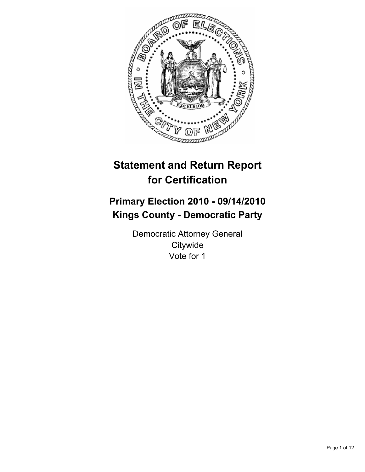

# **Statement and Return Report for Certification**

# **Primary Election 2010 - 09/14/2010 Kings County - Democratic Party**

Democratic Attorney General **Citywide** Vote for 1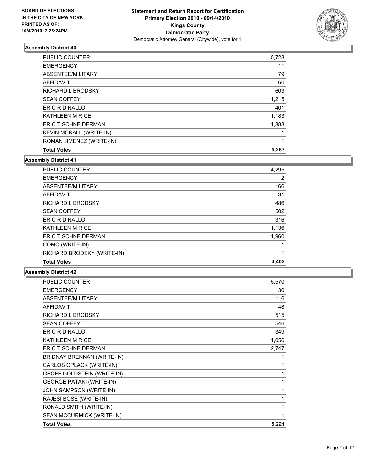

| <b>Total Votes</b>             | 5,287 |
|--------------------------------|-------|
| ROMAN JIMENEZ (WRITE-IN)       | 1     |
| <b>KEVIN MCRALL (WRITE-IN)</b> |       |
| <b>ERIC T SCHNEIDERMAN</b>     | 1,883 |
| <b>KATHLEEN M RICE</b>         | 1,183 |
| ERIC R DINALLO                 | 401   |
| <b>SEAN COFFEY</b>             | 1,215 |
| RICHARD L BRODSKY              | 603   |
| <b>AFFIDAVIT</b>               | 60    |
| ABSENTEE/MILITARY              | 79    |
| <b>EMERGENCY</b>               | 11    |
| <b>PUBLIC COUNTER</b>          | 5,728 |

#### **Assembly District 41**

| <b>PUBLIC COUNTER</b>      | 4,295          |
|----------------------------|----------------|
| <b>EMERGENCY</b>           | $\overline{2}$ |
| ABSENTEE/MILITARY          | 166            |
| AFFIDAVIT                  | 31             |
| <b>RICHARD L BRODSKY</b>   | 486            |
| <b>SEAN COFFEY</b>         | 502            |
| ERIC R DINALLO             | 316            |
| <b>KATHLEEN M RICE</b>     | 1,136          |
| ERIC T SCHNEIDERMAN        | 1,960          |
| COMO (WRITE-IN)            |                |
| RICHARD BRODSKY (WRITE-IN) | 1              |
| <b>Total Votes</b>         | 4,402          |

| <b>PUBLIC COUNTER</b>           | 5,570 |
|---------------------------------|-------|
| <b>EMERGENCY</b>                | 30    |
| ABSENTEE/MILITARY               | 116   |
| <b>AFFIDAVIT</b>                | 48    |
| RICHARD L BRODSKY               | 515   |
| <b>SEAN COFFEY</b>              | 546   |
| <b>ERIC R DINALLO</b>           | 349   |
| <b>KATHLEEN M RICE</b>          | 1,056 |
| ERIC T SCHNEIDERMAN             | 2,747 |
| BRIDNAY BRENNAN (WRITE-IN)      |       |
| CARLOS OPLACK (WRITE-IN)        | 1     |
| GEOFF GOLDSTEIN (WRITE-IN)      | 1     |
| <b>GEORGE PATAKI (WRITE-IN)</b> | 1     |
| JOHN SAMPSON (WRITE-IN)         | 1     |
| RAJESI BOSE (WRITE-IN)          | 1     |
| RONALD SMITH (WRITE-IN)         | 1     |
| SEAN MCCURMICK (WRITE-IN)       |       |
| <b>Total Votes</b>              | 5,221 |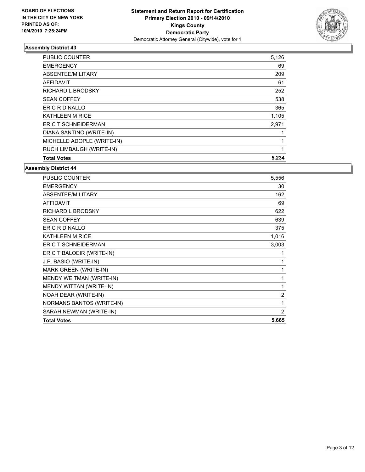

| <b>PUBLIC COUNTER</b>      | 5,126 |
|----------------------------|-------|
| <b>EMERGENCY</b>           | 69    |
| ABSENTEE/MILITARY          | 209   |
| <b>AFFIDAVIT</b>           | 61    |
| <b>RICHARD L BRODSKY</b>   | 252   |
| <b>SEAN COFFEY</b>         | 538   |
| ERIC R DINALLO             | 365   |
| <b>KATHLEEN M RICE</b>     | 1,105 |
| <b>ERIC T SCHNEIDERMAN</b> | 2,971 |
| DIANA SANTINO (WRITE-IN)   |       |
| MICHELLE ADOPLE (WRITE-IN) | 1     |
| RUCH LIMBAUGH (WRITE-IN)   | 1     |
| <b>Total Votes</b>         | 5,234 |

| <b>PUBLIC COUNTER</b>            | 5,556          |
|----------------------------------|----------------|
| <b>EMERGENCY</b>                 | 30             |
| ABSENTEE/MILITARY                | 162            |
| <b>AFFIDAVIT</b>                 | 69             |
| <b>RICHARD L BRODSKY</b>         | 622            |
| <b>SEAN COFFEY</b>               | 639            |
| <b>ERIC R DINALLO</b>            | 375            |
| <b>KATHLEEN M RICE</b>           | 1,016          |
| <b>ERIC T SCHNEIDERMAN</b>       | 3,003          |
| ERIC T BALOEIR (WRITE-IN)        | 1              |
| J.P. BASIO (WRITE-IN)            | 1              |
| MARK GREEN (WRITE-IN)            | 1              |
| MENDY WEITMAN (WRITE-IN)         | 1              |
| MENDY WITTAN (WRITE-IN)          | 1              |
| NOAH DEAR (WRITE-IN)             | $\overline{2}$ |
| <b>NORMANS BANTOS (WRITE-IN)</b> | 1              |
| SARAH NEWMAN (WRITE-IN)          | $\overline{2}$ |
| <b>Total Votes</b>               | 5,665          |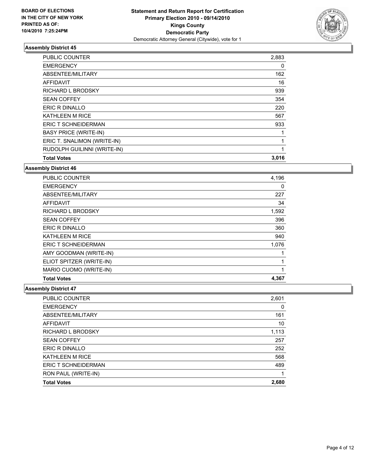

| <b>PUBLIC COUNTER</b>        | 2,883 |
|------------------------------|-------|
| <b>EMERGENCY</b>             | 0     |
| ABSENTEE/MILITARY            | 162   |
| <b>AFFIDAVIT</b>             | 16    |
| <b>RICHARD L BRODSKY</b>     | 939   |
| <b>SEAN COFFEY</b>           | 354   |
| ERIC R DINALLO               | 220   |
| <b>KATHLEEN M RICE</b>       | 567   |
| ERIC T SCHNEIDERMAN          | 933   |
| <b>BASY PRICE (WRITE-IN)</b> | 1     |
| ERIC T. SNALIMON (WRITE-IN)  | 1     |
| RUDOLPH GUILINNI (WRITE-IN)  | 1     |
| <b>Total Votes</b>           | 3,016 |

### **Assembly District 46**

| <b>PUBLIC COUNTER</b>      | 4,196 |
|----------------------------|-------|
| <b>EMERGENCY</b>           | 0     |
| ABSENTEE/MILITARY          | 227   |
| AFFIDAVIT                  | 34    |
| <b>RICHARD L BRODSKY</b>   | 1,592 |
| <b>SEAN COFFEY</b>         | 396   |
| ERIC R DINALLO             | 360   |
| KATHLEEN M RICE            | 940   |
| <b>ERIC T SCHNEIDERMAN</b> | 1,076 |
| AMY GOODMAN (WRITE-IN)     |       |
| ELIOT SPITZER (WRITE-IN)   | 1     |
| MARIO CUOMO (WRITE-IN)     | 1     |
| <b>Total Votes</b>         | 4,367 |

| <b>PUBLIC COUNTER</b>  | 2,601 |
|------------------------|-------|
| <b>EMERGENCY</b>       | 0     |
| ABSENTEE/MILITARY      | 161   |
| <b>AFFIDAVIT</b>       | 10    |
| RICHARD L BRODSKY      | 1,113 |
| <b>SEAN COFFEY</b>     | 257   |
| ERIC R DINALLO         | 252   |
| <b>KATHLEEN M RICE</b> | 568   |
| ERIC T SCHNEIDERMAN    | 489   |
| RON PAUL (WRITE-IN)    |       |
| <b>Total Votes</b>     | 2,680 |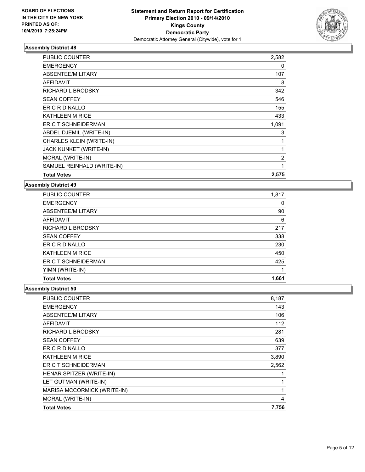

| <b>Total Votes</b>              | 2,575 |
|---------------------------------|-------|
| SAMUEL REINHALD (WRITE-IN)      | 1     |
| MORAL (WRITE-IN)                | 2     |
| JACK KUNKET (WRITE-IN)          | 1     |
| <b>CHARLES KLEIN (WRITE-IN)</b> | 1     |
| ABDEL DJEMIL (WRITE-IN)         | 3     |
| <b>ERIC T SCHNEIDERMAN</b>      | 1,091 |
| <b>KATHLEEN M RICE</b>          | 433   |
| ERIC R DINALLO                  | 155   |
| <b>SEAN COFFEY</b>              | 546   |
| <b>RICHARD L BRODSKY</b>        | 342   |
| <b>AFFIDAVIT</b>                | 8     |
| ABSENTEE/MILITARY               | 107   |
| <b>EMERGENCY</b>                | 0     |
| <b>PUBLIC COUNTER</b>           | 2,582 |

## **Assembly District 49**

| <b>PUBLIC COUNTER</b>    | 1,817 |
|--------------------------|-------|
| <b>EMERGENCY</b>         | 0     |
| ABSENTEE/MILITARY        | 90    |
| <b>AFFIDAVIT</b>         | 6     |
| <b>RICHARD L BRODSKY</b> | 217   |
| <b>SEAN COFFEY</b>       | 338   |
| ERIC R DINALLO           | 230   |
| <b>KATHLEEN M RICE</b>   | 450   |
| ERIC T SCHNEIDERMAN      | 425   |
| YIMN (WRITE-IN)          |       |
| <b>Total Votes</b>       | 1,661 |

| <b>PUBLIC COUNTER</b>       | 8,187 |
|-----------------------------|-------|
| <b>EMERGENCY</b>            | 143   |
| ABSENTEE/MILITARY           | 106   |
| <b>AFFIDAVIT</b>            | 112   |
| RICHARD L BRODSKY           | 281   |
| <b>SEAN COFFEY</b>          | 639   |
| ERIC R DINALLO              | 377   |
| <b>KATHLEEN M RICE</b>      | 3,890 |
| <b>ERIC T SCHNEIDERMAN</b>  | 2,562 |
| HENAR SPITZER (WRITE-IN)    | 1     |
| LET GUTMAN (WRITE-IN)       | 1     |
| MARISA MCCORMICK (WRITE-IN) | 1     |
| MORAL (WRITE-IN)            | 4     |
| <b>Total Votes</b>          | 7,756 |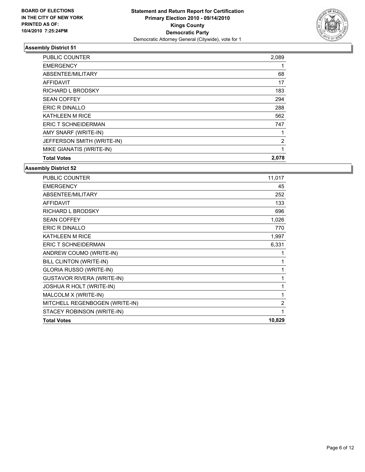

| <b>PUBLIC COUNTER</b>      | 2,089 |
|----------------------------|-------|
| <b>EMERGENCY</b>           |       |
| ABSENTEE/MILITARY          | 68    |
| <b>AFFIDAVIT</b>           | 17    |
| RICHARD L BRODSKY          | 183   |
| <b>SEAN COFFEY</b>         | 294   |
| <b>ERIC R DINALLO</b>      | 288   |
| <b>KATHLEEN M RICE</b>     | 562   |
| <b>ERIC T SCHNEIDERMAN</b> | 747   |
| AMY SNARF (WRITE-IN)       | 1     |
| JEFFERSON SMITH (WRITE-IN) | 2     |
| MIKE GIANATIS (WRITE-IN)   | 1     |
| <b>Total Votes</b>         | 2,078 |

| <b>PUBLIC COUNTER</b>             | 11,017         |
|-----------------------------------|----------------|
| <b>EMERGENCY</b>                  | 45             |
| ABSENTEE/MILITARY                 | 252            |
| <b>AFFIDAVIT</b>                  | 133            |
| <b>RICHARD L BRODSKY</b>          | 696            |
| <b>SEAN COFFEY</b>                | 1,026          |
| <b>ERIC R DINALLO</b>             | 770            |
| <b>KATHLEEN M RICE</b>            | 1,997          |
| <b>ERIC T SCHNEIDERMAN</b>        | 6,331          |
| ANDREW COUMO (WRITE-IN)           | 1              |
| <b>BILL CLINTON (WRITE-IN)</b>    | 1              |
| <b>GLORIA RUSSO (WRITE-IN)</b>    | 1              |
| <b>GUSTAVOR RIVERA (WRITE-IN)</b> | 1              |
| JOSHUA R HOLT (WRITE-IN)          | 1              |
| MALCOLM X (WRITE-IN)              | 1              |
| MITCHELL REGENBOGEN (WRITE-IN)    | $\overline{2}$ |
| STACEY ROBINSON (WRITE-IN)        | 1              |
| <b>Total Votes</b>                | 10,829         |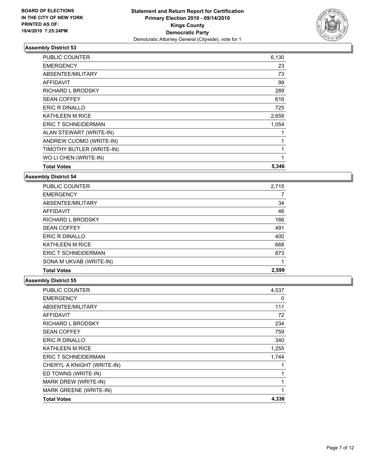

| PUBLIC COUNTER             | 6,130 |
|----------------------------|-------|
| <b>EMERGENCY</b>           | 23    |
| ABSENTEE/MILITARY          | 73    |
| <b>AFFIDAVIT</b>           | 99    |
| RICHARD L BRODSKY          | 289   |
| <b>SEAN COFFEY</b>         | 616   |
| ERIC R DINALLO             | 725   |
| <b>KATHLEEN M RICE</b>     | 2,658 |
| <b>ERIC T SCHNEIDERMAN</b> | 1,054 |
| ALAN STEWART (WRITE-IN)    | 1     |
| ANDREW CUOMO (WRITE-IN)    | 1     |
| TIMOTHY BUTLER (WRITE-IN)  | 1     |
| WO LI CHEN (WRITE-IN)      | 1     |
| <b>Total Votes</b>         | 5,346 |

**Assembly District 54**

| <b>Total Votes</b>       | 2,599 |
|--------------------------|-------|
| SONA M UKVAB (WRITE-IN)  |       |
| ERIC T SCHNEIDERMAN      | 873   |
| <b>KATHLEEN M RICE</b>   | 668   |
| <b>ERIC R DINALLO</b>    | 400   |
| <b>SEAN COFFEY</b>       | 491   |
| <b>RICHARD L BRODSKY</b> | 166   |
| AFFIDAVIT                | 46    |
| ABSENTEE/MILITARY        | 34    |
| <b>EMERGENCY</b>         |       |
| <b>PUBLIC COUNTER</b>    | 2,715 |

| <b>PUBLIC COUNTER</b>      | 4,537 |
|----------------------------|-------|
| <b>EMERGENCY</b>           | 0     |
| ABSENTEE/MILITARY          | 111   |
| <b>AFFIDAVIT</b>           | 72    |
| RICHARD L BRODSKY          | 234   |
| <b>SEAN COFFEY</b>         | 759   |
| <b>ERIC R DINALLO</b>      | 340   |
| KATHLEEN M RICE            | 1,255 |
| <b>ERIC T SCHNEIDERMAN</b> | 1,744 |
| CHERYL A KNIGHT (WRITE-IN) |       |
| ED TOWNS (WRITE-IN)        |       |
| MARK DREW (WRITE-IN)       |       |
| MARK GREENE (WRITE-IN)     |       |
| <b>Total Votes</b>         | 4,336 |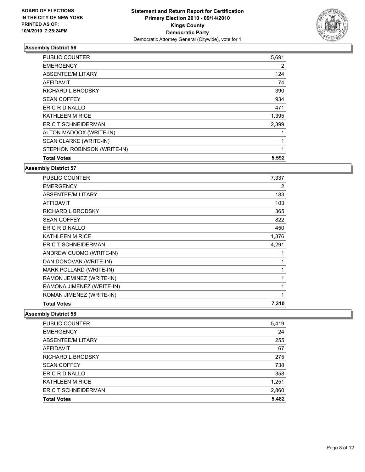

| <b>PUBLIC COUNTER</b>       | 5,691 |
|-----------------------------|-------|
| <b>EMERGENCY</b>            | 2     |
| ABSENTEE/MILITARY           | 124   |
| <b>AFFIDAVIT</b>            | 74    |
| RICHARD L BRODSKY           | 390   |
| <b>SEAN COFFEY</b>          | 934   |
| <b>ERIC R DINALLO</b>       | 471   |
| <b>KATHLEEN M RICE</b>      | 1,395 |
| <b>ERIC T SCHNEIDERMAN</b>  | 2,399 |
| ALTON MADOOX (WRITE-IN)     |       |
| SEAN CLARKE (WRITE-IN)      | 1     |
| STEPHON ROBINSON (WRITE-IN) | 1     |
| <b>Total Votes</b>          | 5,592 |

### **Assembly District 57**

| PUBLIC COUNTER             | 7,337 |
|----------------------------|-------|
| <b>EMERGENCY</b>           | 2     |
| ABSENTEE/MILITARY          | 183   |
| <b>AFFIDAVIT</b>           | 103   |
| <b>RICHARD L BRODSKY</b>   | 365   |
| <b>SEAN COFFEY</b>         | 822   |
| <b>ERIC R DINALLO</b>      | 450   |
| <b>KATHLEEN M RICE</b>     | 1,376 |
| <b>ERIC T SCHNEIDERMAN</b> | 4,291 |
| ANDREW CUOMO (WRITE-IN)    | 1     |
| DAN DONOVAN (WRITE-IN)     | 1     |
| MARK POLLARD (WRITE-IN)    | 1     |
| RAMON JEMINEZ (WRITE-IN)   | 1     |
| RAMONA JIMENEZ (WRITE-IN)  | 1     |
| ROMAN JIMENEZ (WRITE-IN)   | 1     |
| <b>Total Votes</b>         | 7,310 |

| PUBLIC COUNTER             | 5,419 |
|----------------------------|-------|
| <b>EMERGENCY</b>           | 24    |
| ABSENTEE/MILITARY          | 255   |
| <b>AFFIDAVIT</b>           | 67    |
| <b>RICHARD L BRODSKY</b>   | 275   |
| <b>SEAN COFFEY</b>         | 738   |
| ERIC R DINALLO             | 358   |
| <b>KATHLEEN M RICE</b>     | 1,251 |
| <b>ERIC T SCHNEIDERMAN</b> | 2,860 |
| <b>Total Votes</b>         | 5,482 |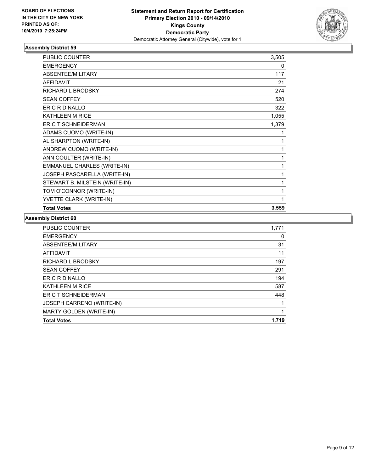

| <b>PUBLIC COUNTER</b>               | 3,505 |
|-------------------------------------|-------|
| <b>EMERGENCY</b>                    | 0     |
| ABSENTEE/MILITARY                   | 117   |
| <b>AFFIDAVIT</b>                    | 21    |
| RICHARD L BRODSKY                   | 274   |
| <b>SEAN COFFEY</b>                  | 520   |
| <b>ERIC R DINALLO</b>               | 322   |
| KATHLEEN M RICE                     | 1,055 |
| <b>ERIC T SCHNEIDERMAN</b>          | 1,379 |
| ADAMS CUOMO (WRITE-IN)              | 1     |
| AL SHARPTON (WRITE-IN)              | 1     |
| ANDREW CUOMO (WRITE-IN)             | 1     |
| ANN COULTER (WRITE-IN)              | 1     |
| EMMANUEL CHARLES (WRITE-IN)         | 1     |
| <b>JOSEPH PASCARELLA (WRITE-IN)</b> | 1     |
| STEWART B. MILSTEIN (WRITE-IN)      | 1     |
| TOM O'CONNOR (WRITE-IN)             | 1     |
| YVETTE CLARK (WRITE-IN)             | 1     |
| <b>Total Votes</b>                  | 3,559 |

| 1,771 |
|-------|
| 0     |
| 31    |
| 11    |
| 197   |
| 291   |
| 194   |
| 587   |
| 448   |
|       |
| 1     |
| 1.719 |
|       |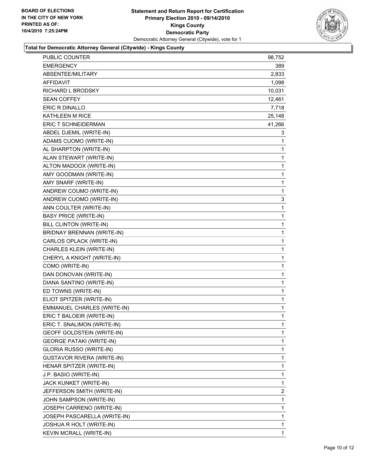

# **Total for Democratic Attorney General (Citywide) - Kings County**

| PUBLIC COUNTER                    | 98,752       |
|-----------------------------------|--------------|
| EMERGENCY                         | 389.         |
| ABSENTEE/MILITARY                 | 2,833        |
| <b>AFFIDAVIT</b>                  | 1,098        |
| RICHARD L BRODSKY                 | 10,031       |
| <b>SEAN COFFEY</b>                | 12,461       |
| ERIC R DINALLO                    | 7,718        |
| <b>KATHLEEN M RICE</b>            | 25,148       |
| <b>ERIC T SCHNEIDERMAN</b>        | 41,266       |
| ABDEL DJEMIL (WRITE-IN)           | 3            |
| ADAMS CUOMO (WRITE-IN)            | 1            |
| AL SHARPTON (WRITE-IN)            | 1            |
| ALAN STEWART (WRITE-IN)           | 1            |
| ALTON MADOOX (WRITE-IN)           | 1            |
| AMY GOODMAN (WRITE-IN)            | 1            |
| AMY SNARF (WRITE-IN)              | 1            |
| ANDREW COUMO (WRITE-IN)           | 1            |
| ANDREW CUOMO (WRITE-IN)           | 3            |
| ANN COULTER (WRITE-IN)            | 1            |
| <b>BASY PRICE (WRITE-IN)</b>      | 1            |
| BILL CLINTON (WRITE-IN)           | 1            |
| BRIDNAY BRENNAN (WRITE-IN)        | 1            |
| CARLOS OPLACK (WRITE-IN)          | 1            |
| CHARLES KLEIN (WRITE-IN)          | 1            |
| CHERYL A KNIGHT (WRITE-IN)        | 1            |
| COMO (WRITE-IN)                   | 1            |
| DAN DONOVAN (WRITE-IN)            | 1            |
| DIANA SANTINO (WRITE-IN)          | 1            |
| ED TOWNS (WRITE-IN)               | 1            |
| ELIOT SPITZER (WRITE-IN)          | 1            |
| EMMANUEL CHARLES (WRITE-IN)       | 1            |
| ERIC T BALOEIR (WRITE-IN)         | 1            |
| ERIC T. SNALIMON (WRITE-IN)       | 1            |
| GEOFF GOLDSTEIN (WRITE-IN)        | 1            |
| <b>GEORGE PATAKI (WRITE-IN)</b>   | 1            |
| GLORIA RUSSO (WRITE-IN)           | 1            |
| <b>GUSTAVOR RIVERA (WRITE-IN)</b> | 1            |
| HENAR SPITZER (WRITE-IN)          | 1            |
| J.P. BASIO (WRITE-IN)             | 1            |
| JACK KUNKET (WRITE-IN)            | 1            |
| JEFFERSON SMITH (WRITE-IN)        | $\mathbf{2}$ |
| JOHN SAMPSON (WRITE-IN)           | 1            |
| JOSEPH CARRENO (WRITE-IN)         | 1            |
| JOSEPH PASCARELLA (WRITE-IN)      | 1            |
| JOSHUA R HOLT (WRITE-IN)          | 1            |
| KEVIN MCRALL (WRITE-IN)           | $\mathbf{1}$ |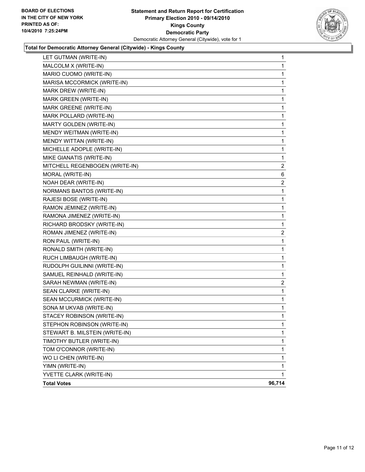

#### **Total for Democratic Attorney General (Citywide) - Kings County**

| 1      |
|--------|
| 1      |
| 1      |
| 1      |
| 1      |
| 1      |
| 1      |
| 1      |
| 1      |
| 1      |
| 1      |
| 1      |
| 1      |
| 2      |
| 6      |
| 2      |
| 1      |
| 1      |
| 1      |
| 1      |
| 1      |
| 2      |
| 1      |
| 1      |
| 1      |
| 1      |
| 1      |
| 2      |
| 1      |
| 1      |
| 1      |
| 1      |
| 1      |
| 1      |
| 1      |
| 1      |
| 1      |
| 1      |
| 1      |
| 96,714 |
|        |